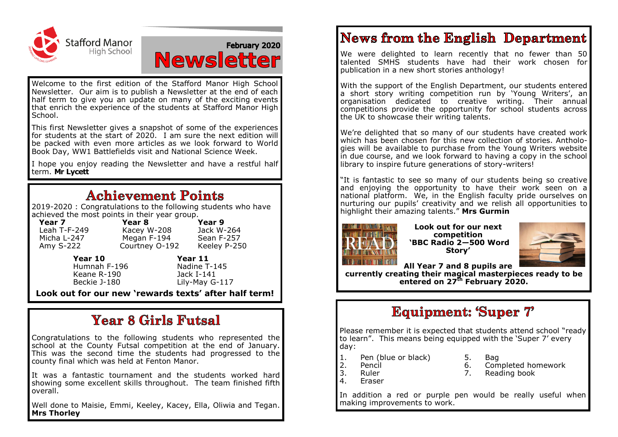

# February 2020 **Newsletter**

Welcome to the first edition of the Stafford Manor High School Newsletter. Our aim is to publish a Newsletter at the end of each half term to give you an update on many of the exciting events that enrich the experience of the students at Stafford Manor High School.

This first Newsletter gives a snapshot of some of the experiences for students at the start of 2020. I am sure the next edition will be packed with even more articles as we look forward to World Book Day, WW1 Battlefields visit and National Science Week.

I hope you enjoy reading the Newsletter and have a restful half term. **Mr Lycett**

#### **Achievement Points**

2019-2020 : Congratulations to the following students who have achieved the most points in their year group.<br>**Year 7** Year 8

Courtney O-192

**Year 7 Year 8 Year 9**<br>Leah T-F-249 **Kacey W-208** lack W-264 Leah T-F-249 Kacey W-208 Jack W-264 Micha L-247 Megan F-194 Sean F-257<br>Amy S-222 Courtney 0-192 Keeley P-250

> Humnah F-196 Nadine T-1<br>Keane R-190 Nack I-141 Keane R-190<br>Beckie 1-180

**Year 10 Year 11**<br> **Humnah F-196 Nadine T-145** Lily-May G-117

**Look out for our new 'rewards texts' after half term!**

# **Year 8 Girls Futsal**

Congratulations to the following students who represented the school at the County Futsal competition at the end of January. This was the second time the students had progressed to the county final which was held at Fenton Manor.

It was a fantastic tournament and the students worked hard showing some excellent skills throughout. The team finished fifth overall.

Well done to Maisie, Emmi, Keeley, Kacey, Ella, Oliwia and Tegan. **Mrs Thorley**

# **News from the English Department**

We were delighted to learn recently that no fewer than 50 talented SMHS students have had their work chosen for publication in a new short stories anthology!

With the support of the English Department, our students entered a short story writing competition run by 'Young Writers', an organisation dedicated to creative writing. Their annual competitions provide the opportunity for school students across the UK to showcase their writing talents.

We're delighted that so many of our students have created work which has been chosen for this new collection of stories. Anthologies will be available to purchase from the Young Writers website in due course, and we look forward to having a copy in the school library to inspire future generations of story-writers!

"It is fantastic to see so many of our students being so creative and enjoying the opportunity to have their work seen on a national platform. We, in the English faculty pride ourselves on nurturing our pupils' creativity and we relish all opportunities to highlight their amazing talents." **Mrs Gurmin**



**Look out for our next competition 'BBC Radio 2—500 Word Story'** 



**All Year 7 and 8 pupils are** 

**currently creating their magical masterpieces ready to be entered on 27th February 2020.**

# **Equipment: 'Super 7'**

Please remember it is expected that students attend school "ready to learn". This means being equipped with the 'Super 7' every day:

- 1. Pen (blue or black) 5. Bag<br>2. Pencil 6. Com
	-

- 
- 2. Pencil 6. Completed homework
- 
- 4. Eraser
- 3. Ruler 7. Reading book

In addition a red or purple pen would be really useful when making improvements to work.